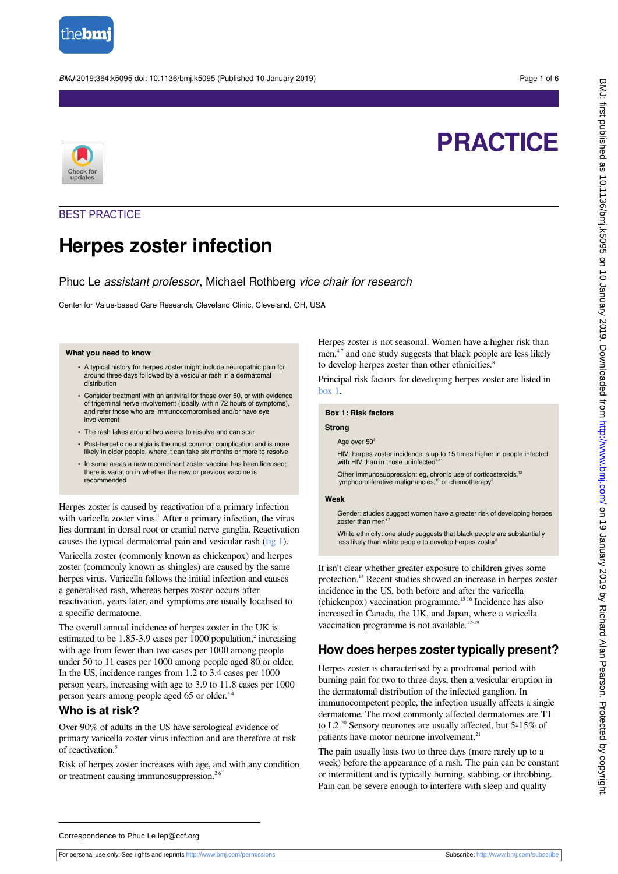

BMJ 2019;364:k5095 doi: 10.1136/bmj.k5095 (Published 10 January 2019) Page 1 of 6

# **PRACTICE**



## BEST PRACTICE

## **Herpes zoster infection**

Phuc Le assistant professor, Michael Rothberg vice chair for research

Center for Value-based Care Research, Cleveland Clinic, Cleveland, OH, USA

#### **What you need to know**

- **•** A typical history for herpes zoster might include neuropathic pain for around three days followed by a vesicular rash in a dermatomal distribution
- **•** Consider treatment with an antiviral for those over 50, or with evidence of trigeminal nerve involvement (ideally within 72 hours of symptoms), and refer those who are immunocompromised and/or have eye involvement
- **•** The rash takes around two weeks to resolve and can scar
- **•** Post-herpetic neuralgia is the most common complication and is more likely in older people, where it can take six months or more to resolve
- **•** In some areas a new recombinant zoster vaccine has been licensed; there is variation in whether the new or previous vaccine is recommended

Herpes zoster is caused by reactivation of a primary infection with varicella zoster virus.<sup>1</sup> After a primary infection, the virus lies dormant in dorsal root or cranial nerve ganglia. Reactivation causes the typical dermatomal pain and vesicular rash ([fig 1\)](#page-5-0).

Varicella zoster (commonly known as chickenpox) and herpes zoster (commonly known as shingles) are caused by the same herpes virus. Varicella follows the initial infection and causes a generalised rash, whereas herpes zoster occurs after reactivation, years later, and symptoms are usually localised to a specific dermatome.

The overall annual incidence of herpes zoster in the UK is estimated to be  $1.85-3.9$  cases per 1000 population,<sup>2</sup> increasing with age from fewer than two cases per 1000 among people under 50 to 11 cases per 1000 among people aged 80 or older. In the US, incidence ranges from 1.2 to 3.4 cases per 1000 person years, increasing with age to 3.9 to 11.8 cases per 1000 person years among people aged 65 or older.<sup>34</sup>

## **Who is at risk?**

Over 90% of adults in the US have serological evidence of primary varicella zoster virus infection and are therefore at risk of reactivation.<sup>5</sup>

Risk of herpes zoster increases with age, and with any condition or treatment causing immunosuppression.<sup>26</sup>

Herpes zoster is not seasonal. Women have a higher risk than men,<sup>47</sup> and one study suggests that black people are less likely to develop herpes zoster than other ethnicities.<sup>8</sup>

<span id="page-0-0"></span>Principal risk factors for developing herpes zoster are listed in [box 1](#page-0-0).

### **Box 1: Risk factors**

#### **Strong**

Age over 50<sup>3</sup>

HIV: herpes zoster incidence is up to 15 times higher in people infected with HIV than in those uninfected<sup>9</sup>

Other immunosuppression: eg, chronic use of corticosteroids,<sup>12</sup> lymphoproliferative malignancies,<sup>13</sup> or chemotherapy<sup>6</sup>

#### **Weak**

Gender: studies suggest women have a greater risk of developing herpes zoster than men<sup>4</sup>

White ethnicity: one study suggests that black people are substantially less likely than white people to develop herpes zoster

It isn't clear whether greater exposure to children gives some protection.<sup>14</sup> Recent studies showed an increase in herpes zoster incidence in the US, both before and after the varicella (chickenpox) vaccination programme.15 16 Incidence has also increased in Canada, the UK, and Japan, where a varicella vaccination programme is not available.<sup>17-19</sup>

## **How does herpes zoster typically present?**

Herpes zoster is characterised by a prodromal period with burning pain for two to three days, then a vesicular eruption in the dermatomal distribution of the infected ganglion. In immunocompetent people, the infection usually affects a single dermatome. The most commonly affected dermatomes are T1 to L2.<sup>20</sup> Sensory neurones are usually affected, but 5-15% of patients have motor neurone involvement.<sup>21</sup>

The pain usually lasts two to three days (more rarely up to a week) before the appearance of a rash. The pain can be constant or intermittent and is typically burning, stabbing, or throbbing. Pain can be severe enough to interfere with sleep and quality

For personal use only: See rights and reprints<http://www.bmj.com/permissions> Subscribe: <http://www.bmj.com/subscribe>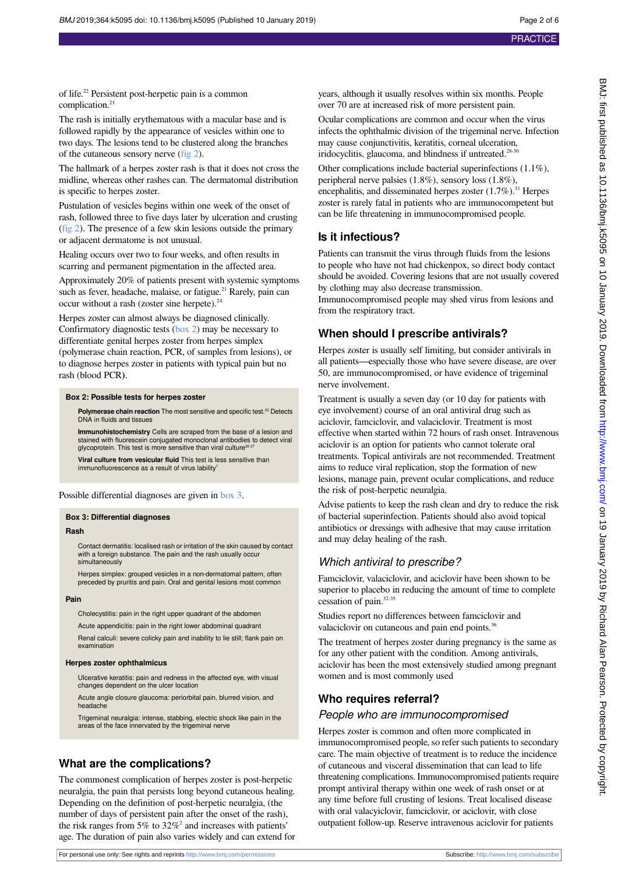of life.<sup>22</sup> Persistent post-herpetic pain is a common

The rash is initially erythematous with a macular base and is

complication.<sup>23</sup>

followed rapidly by the appearance of vesicles within one to two days. The lesions tend to be clustered along the branches of the cutaneous sensory nerve [\(fig 2](#page-5-1)). The hallmark of a herpes zoster rash is that it does not cross the midline, whereas other rashes can. The dermatomal distribution is specific to herpes zoster. Pustulation of vesicles begins within one week of the onset of rash, followed three to five days later by ulceration and crusting ([fig 2\)](#page-5-1). The presence of a few skin lesions outside the primary or adjacent dermatome is not unusual. Healing occurs over two to four weeks, and often results in scarring and permanent pigmentation in the affected area. Approximately 20% of patients present with systemic symptoms

such as fever, headache, malaise, or fatigue.<sup>21</sup> Rarely, pain can occur without a rash (zoster sine herpete).<sup>24</sup>

Herpes zoster can almost always be diagnosed clinically. Confirmatory diagnostic tests ([box 2](#page-1-0)) may be necessary to differentiate genital herpes zoster from herpes simplex (polymerase chain reaction, PCR, of samples from lesions), or to diagnose herpes zoster in patients with typical pain but no rash (blood PCR**)**.

#### <span id="page-1-0"></span>**Box 2: Possible tests for herpes zoster**

**Polymerase chain reaction** The most sensitive and specific test.<sup>25</sup> Detects DNA in fluids and tissues

**Immunohistochemistry** Cells are scraped from the base of a lesion and stained with fluorescein conjugated monoclonal antibodies to detect viral glycoprotein. This test is more sensitive than viral culture<sup>26 27</sup>

<span id="page-1-1"></span>**Viral culture from vesicular fluid** This test is less sensitive than immunofluorescence as a result of virus lability

#### Possible differential diagnoses are given in [box 3.](#page-1-1)

#### **Box 3: Differential diagnoses**

#### **Rash**

Contact dermatitis: localised rash or irritation of the skin caused by contact with a foreign substance. The pain and the rash usually occur simultaneously

Herpes simplex: grouped vesicles in a non-dermatomal pattern, often preceded by pruritis and pain. Oral and genital lesions most common

#### **Pain**

Cholecystitis: pain in the right upper quadrant of the abdomen

Acute appendicitis: pain in the right lower abdominal quadrant

Renal calculi: severe colicky pain and inability to lie still; flank pain on examination

#### **Herpes zoster ophthalmicus**

Ulcerative keratitis: pain and redness in the affected eye, with visual changes dependent on the ulcer location

Acute angle closure glaucoma: periorbital pain, blurred vision, and headache

Trigeminal neuralgia: intense, stabbing, electric shock like pain in the areas of the face innervated by the trigeminal nerve

## **What are the complications?**

The commonest complication of herpes zoster is post-herpetic neuralgia, the pain that persists long beyond cutaneous healing. Depending on the definition of post-herpetic neuralgia, (the number of days of persistent pain after the onset of the rash), the risk ranges from 5% to  $32\%$ <sup>2</sup> and increases with patients' age. The duration of pain also varies widely and can extend for

For personal use only: See rights and reprints<http://www.bmj.com/permissions> Subscribe: <http://www.bmj.com/subscribe>

years, although it usually resolves within six months. People over 70 are at increased risk of more persistent pain.

Ocular complications are common and occur when the virus infects the ophthalmic division of the trigeminal nerve. Infection may cause conjunctivitis, keratitis, corneal ulceration, iridocyclitis, glaucoma, and blindness if untreated.<sup>28-30</sup>

Other complications include bacterial superinfections (1.1%), peripheral nerve palsies (1.8%), sensory loss (1.8%), encephalitis, and disseminated herpes zoster  $(1.7\%)$ .<sup>31</sup> Herpes zoster is rarely fatal in patients who are immunocompetent but can be life threatening in immunocompromised people.

## **Is it infectious?**

Patients can transmit the virus through fluids from the lesions to people who have not had chickenpox, so direct body contact should be avoided. Covering lesions that are not usually covered by clothing may also decrease transmission. Immunocompromised people may shed virus from lesions and

from the respiratory tract.

## **When should I prescribe antivirals?**

Herpes zoster is usually self limiting, but consider antivirals in all patients—especially those who have severe disease, are over 50, are immunocompromised, or have evidence of trigeminal nerve involvement.

Treatment is usually a seven day (or 10 day for patients with eye involvement) course of an oral antiviral drug such as aciclovir, famciclovir, and valaciclovir. Treatment is most effective when started within 72 hours of rash onset. Intravenous aciclovir is an option for patients who cannot tolerate oral treatments. Topical antivirals are not recommended. Treatment aims to reduce viral replication, stop the formation of new lesions, manage pain, prevent ocular complications, and reduce the risk of post-herpetic neuralgia.

Advise patients to keep the rash clean and dry to reduce the risk of bacterial superinfection. Patients should also avoid topical antibiotics or dressings with adhesive that may cause irritation and may delay healing of the rash.

## Which antiviral to prescribe?

Famciclovir, valaciclovir, and aciclovir have been shown to be superior to placebo in reducing the amount of time to complete cessation of pain.32-35

Studies report no differences between famciclovir and valaciclovir on cutaneous and pain end points.<sup>36</sup>

The treatment of herpes zoster during pregnancy is the same as for any other patient with the condition. Among antivirals, aciclovir has been the most extensively studied among pregnant women and is most commonly used

## **Who requires referral?**

### People who are immunocompromised

Herpes zoster is common and often more complicated in immunocompromised people, so refer such patients to secondary care. The main objective of treatment is to reduce the incidence of cutaneous and visceral dissemination that can lead to life threatening complications. Immunocompromised patients require prompt antiviral therapy within one week of rash onset or at any time before full crusting of lesions. Treat localised disease with oral valacyiclovir, famciclovir, or aciclovir, with close outpatient follow-up. Reserve intravenous aciclovir for patients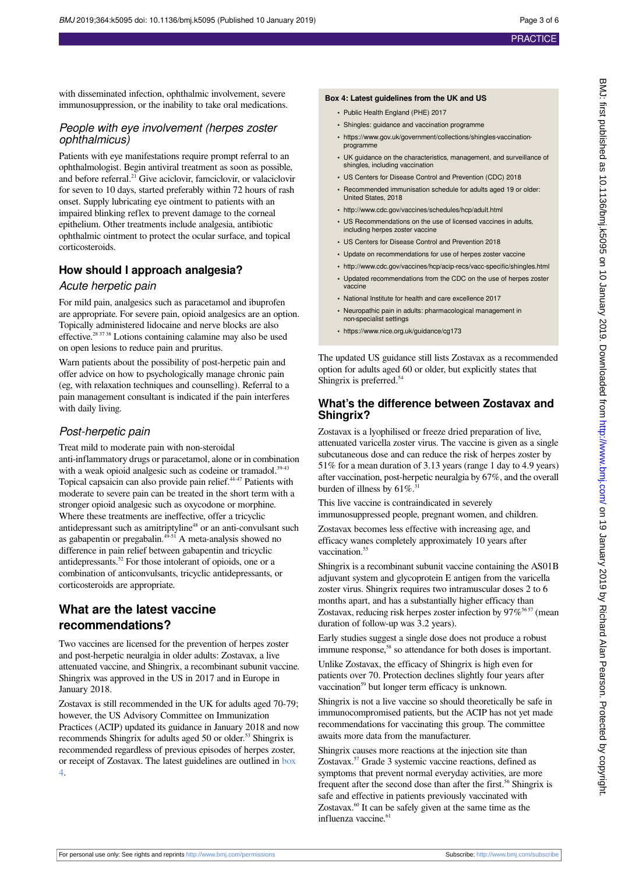with disseminated infection, ophthalmic involvement, severe immunosuppression, or the inability to take oral medications.

People with eye involvement (herpes zoster

Patients with eye manifestations require prompt referral to an ophthalmologist. Begin antiviral treatment as soon as possible, and before referral.<sup>21</sup> Give aciclovir, famciclovir, or valaciclovir for seven to 10 days, started preferably within 72 hours of rash onset. Supply lubricating eye ointment to patients with an impaired blinking reflex to prevent damage to the corneal epithelium. Other treatments include analgesia, antibiotic ophthalmic ointment to protect the ocular surface, and topical corticosteroids. **How should I approach analgesia?** Acute herpetic pain For mild pain, analgesics such as paracetamol and ibuprofen are appropriate. For severe pain, opioid analgesics are an option. Topically administered lidocaine and nerve blocks are also effective.28 37 38 Lotions containing calamine may also be used on open lesions to reduce pain and pruritus. Warn patients about the possibility of post-herpetic pain and

offer advice on how to psychologically manage chronic pain (eg, with relaxation techniques and counselling). Referral to a pain management consultant is indicated if the pain interferes with daily living.

## Post-herpetic pain

ophthalmicus)

Treat mild to moderate pain with non-steroidal anti-inflammatory drugs or paracetamol, alone or in combination with a weak opioid analgesic such as codeine or tramadol.<sup>39-43</sup> Topical capsaicin can also provide pain relief.<sup>44-47</sup> Patients with moderate to severe pain can be treated in the short term with a stronger opioid analgesic such as oxycodone or morphine. Where these treatments are ineffective, offer a tricyclic antidepressant such as amitriptyline<sup>48</sup> or an anti-convulsant such as gabapentin or pregabalin.<sup>49-51</sup> A meta-analysis showed no difference in pain relief between gabapentin and tricyclic antidepressants.<sup>52</sup> For those intolerant of opioids, one or a combination of anticonvulsants, tricyclic antidepressants, or corticosteroids are appropriate.

## **What are the latest vaccine recommendations?**

Two vaccines are licensed for the prevention of herpes zoster and post-herpetic neuralgia in older adults: Zostavax, a live attenuated vaccine, and Shingrix, a recombinant subunit vaccine. Shingrix was approved in the US in 2017 and in Europe in January 2018.

Zostavax is still recommended in the UK for adults aged 70-79; however, the US Advisory Committee on Immunization Practices (ACIP) updated its guidance in January 2018 and now recommends Shingrix for adults aged 50 or older.<sup>53</sup> Shingrix is recommended regardless of previous episodes of herpes zoster, or receipt of Zostavax. The latest guidelines are outlined in [box](#page-2-0) [4](#page-2-0).

#### <span id="page-2-0"></span>**Box 4: Latest guidelines from the UK and US**

- **•** Public Health England (PHE) 2017
- **•** Shingles: guidance and vaccination programme
- **•** https://www.gov.uk/government/collections/shingles-vaccinationprogramme
- **•** UK guidance on the characteristics, management, and surveillance of shingles, including vaccination
- **•** US Centers for Disease Control and Prevention (CDC) 2018
- **•** Recommended immunisation schedule for adults aged 19 or older: United States, 2018
- **•** <http://www.cdc.gov/vaccines/schedules/hcp/adult.html>
- **•** US Recommendations on the use of licensed vaccines in adults, including herpes zoster vaccine
- **•** US Centers for Disease Control and Prevention 2018
- **•** Update on recommendations for use of herpes zoster vaccine
- **•** <http://www.cdc.gov/vaccines/hcp/acip-recs/vacc-specific/shingles.html>
- **•** Updated recommendations from the CDC on the use of herpes zoster vaccine
- **•** National Institute for health and care excellence 2017
- **•** Neuropathic pain in adults: pharmacological management in non-specialist settings
- **•** https://www.nice.org.uk/guidance/cg173

The updated US guidance still lists Zostavax as a recommended option for adults aged 60 or older, but explicitly states that Shingrix is preferred.<sup>54</sup>

## **What's the difference between Zostavax and Shingrix?**

Zostavax is a lyophilised or freeze dried preparation of live, attenuated varicella zoster virus. The vaccine is given as a single subcutaneous dose and can reduce the risk of herpes zoster by 51% for a mean duration of 3.13 years (range 1 day to 4.9 years) after vaccination, post-herpetic neuralgia by 67%, and the overall burden of illness by 61%.<sup>31</sup>

This live vaccine is contraindicated in severely immunosuppressed people, pregnant women, and children.

Zostavax becomes less effective with increasing age, and efficacy wanes completely approximately 10 years after vaccination.<sup>55</sup>

Shingrix is a recombinant subunit vaccine containing the AS01B adjuvant system and glycoprotein E antigen from the varicella zoster virus. Shingrix requires two intramuscular doses 2 to 6 months apart, and has a substantially higher efficacy than Zostavax, reducing risk herpes zoster infection by  $97\%^{5657}$  (mean duration of follow-up was 3.2 years).

Early studies suggest a single dose does not produce a robust immune response,<sup>58</sup> so attendance for both doses is important.

Unlike Zostavax, the efficacy of Shingrix is high even for patients over 70. Protection declines slightly four years after vaccination<sup>59</sup> but longer term efficacy is unknown.

Shingrix is not a live vaccine so should theoretically be safe in immunocompromised patients, but the ACIP has not yet made recommendations for vaccinating this group. The committee awaits more data from the manufacturer.

Shingrix causes more reactions at the injection site than Zostavax.<sup>57</sup> Grade 3 systemic vaccine reactions, defined as symptoms that prevent normal everyday activities, are more frequent after the second dose than after the first.<sup>56</sup> Shingrix is safe and effective in patients previously vaccinated with Zostavax.<sup>60</sup> It can be safely given at the same time as the influenza vaccine.<sup>61</sup>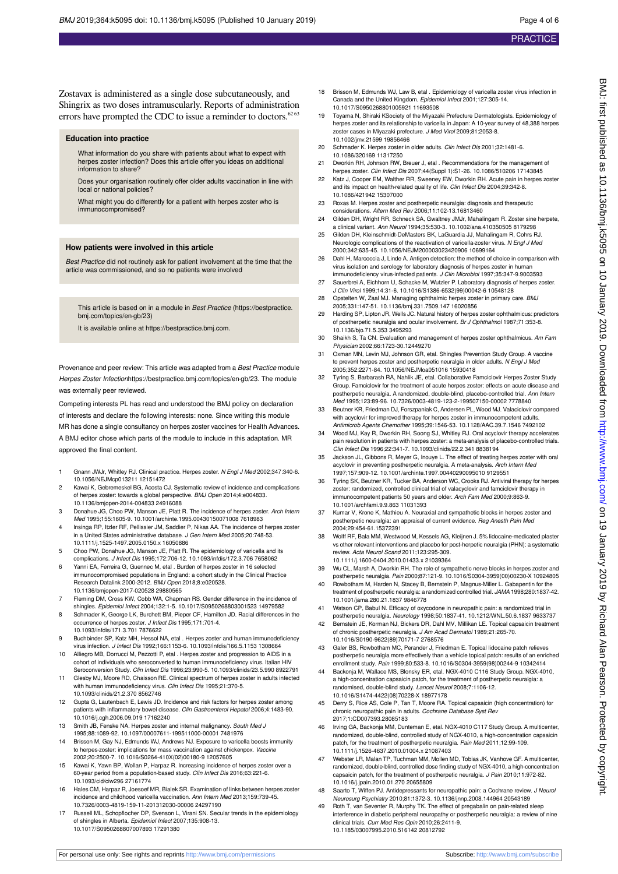Zostavax is administered as a single dose subcutaneously, and Shingrix as two doses intramuscularly. Reports of administration errors have prompted the CDC to issue a reminder to doctors. $6263$ 

#### **Education into practice**

What information do you share with patients about what to expect with herpes zoster infection? Does this article offer you ideas on additional information to share?

Does your organisation routinely offer older adults vaccination in line with local or national policies?

What might you do differently for a patient with herpes zoster who is immunocompromised?

#### **How patients were involved in this article**

Best Practice did not routinely ask for patient involvement at the time that the article was commissioned, and so no patients were involved

This article is based on in a module in Best Practice (https://bestpractice. bmj.com/topics/en-gb/23)

It is available online at https://bestpractice.bmj.com.

Provenance and peer review: This article was adapted from a Best Practice module Herpes Zoster Infectionhttps://bestpractice.bmj.com/topics/en-gb/23. The module was externally peer reviewed.

Competing interests PL has read and understood the BMJ policy on declaration of interests and declare the following interests: none. Since writing this module MR has done a single consultancy on herpes zoster vaccines for Health Advances. A BMJ editor chose which parts of the module to include in this adaptation. MR approved the final content.

- 1 Gnann JWJr, Whitley RJ. Clinical practice. Herpes zoster. N Engl J Med 2002;347:340-6. 10.1056/NEJMcp013211 12151472
- 2 Kawai K, Gebremeskel BG, Acosta CJ. Systematic review of incidence and complications of herpes zoster: towards a global perspective. BMJ Open 2014;4:e004833. 10.1136/bmjopen-2014-004833 24916088
- 3 Donahue JG, Choo PW, Manson JE, Platt R. The incidence of herpes zoster. Arch Intern Med 1995;155:1605-9. 10.1001/archinte.1995.00430150071008 7618983
- 4 Insinga RP, Itzler RF, Pellissier JM, Saddier P, Nikas AA. The incidence of herpes zoster in a United States administrative database. J Gen Intern Med 2005;20:748-53. 10.1111/j.1525-1497.2005.0150.x 16050886
- 5 Choo PW, Donahue JG, Manson JE, Platt R. The epidemiology of varicella and its complications. J Infect Dis 1995;172:706-12. 10.1093/infdis/172.3.706 7658062
- 6 Yanni EA, Ferreira G, Guennec M, etal . Burden of herpes zoster in 16 selected immunocompromised populations in England: a cohort study in the Clinical Practice Research Datalink 2000-2012. BMJ Open 2018;8:e020528.
- 10.1136/bmjopen-2017-020528 29880565 7 Fleming DM, Cross KW, Cobb WA, Chapman RS. Gender difference in the incidence of shingles. Epidemiol Infect 2004;132:1-5. 10.1017/S0950268803001523 14979582
- 8 Schmader K, George LK, Burchett BM, Pieper CF, Hamilton JD. Racial differences in the occurrence of herpes zoster. J Infect Dis 1995;171:701-4. 10.1093/infdis/171.3.701 7876622
- 9 Buchbinder SP, Katz MH, Hessol NA, etal . Herpes zoster and human immunodeficiency virus infection. J Infect Dis 1992;166:1153-6. 10.1093/infdis/166.5.1153 1308664
- 10 Alliegro MB, Dorrucci M, Pezzotti P, etal . Herpes zoster and progression to AIDS in a cohort of individuals who seroconverted to human immunodeficiency virus. Italian HIV Seroconversion Study. Clin Infect Dis 1996;23:990-5. 10.1093/clinids/23.5.990 8922791
- 11 Glesby MJ, Moore RD, Chaisson RE. Clinical spectrum of herpes zoster in adults infected with human immunodeficiency virus. Clin Infect Dis 1995;21:370-5. 10.1093/clinids/21.2.370 8562746
- 12 Gupta G, Lautenbach E, Lewis JD. Incidence and risk factors for herpes zoster among patients with inflammatory bowel disease. Clin Gastroenterol Hepatol 2006;4:1483-90. 10.1016/j.cgh.2006.09.019 17162240
- 13 Smith JB, Fenske NA. Herpes zoster and internal malignancy. South Med J 1995;88:1089-92. 10.1097/00007611-199511000-00001 7481976
- 14 Brisson M, Gay NJ, Edmunds WJ, Andrews NJ. Exposure to varicella boosts immunity to herpes-zoster: implications for mass vaccination against chickenpox. Vaccine 2002;20:2500-7. 10.1016/S0264-410X(02)00180-9 12057605
- 15 Kawai K, Yawn BP, Wollan P, Harpaz R. Increasing incidence of herpes zoster over a 60-year period from a population-based study. Clin Infect Dis 2016;63:221-6. 10.1093/cid/ciw296 27161774
- 16 Hales CM, Harpaz R, Joesoef MR, Bialek SR. Examination of links between herpes zoster incidence and childhood varicella vaccination. Ann Intern Med 2013;159:739-45. 10.7326/0003-4819-159-11-201312030-00006 24297190
- 17 Russell ML, Schopflocher DP, Svenson L, Virani SN. Secular trends in the epidemiology of shingles in Alberta. Epidemiol Infect 2007;135:908-13. 10.1017/S0950268807007893 17291380
- 18 Brisson M, Edmunds WJ, Law B, etal . Epidemiology of varicella zoster virus infection in Canada and the United Kingdom. Epidemiol Infect 2001;127:305-14. 10.1017/S0950268801005921 11693508
- 19 Toyama N, Shiraki KSociety of the Miyazaki Prefecture Dermatologists. Epidemiology of herpes zoster and its relationship to varicella in Japan: A 10-year survey of 48,388 herpes<br>zoster cases in Miyazaki prefecture. *J Med Virol* 2009;81:2053-8. 10.1002/jmv.21599 19856466
- 20 Schmader K. Herpes zoster in older adults. Clin Infect Dis 2001;32:1481-6. 10.1086/320169 11317250
- 21 Dworkin RH, Johnson RW, Breuer J, etal . Recommendations for the management of herpes zoster. Clin Infect Dis 2007;44(Suppl 1):S1-26. 10.1086/510206 17143845
- 22 Katz J, Cooper EM, Walther RR, Sweeney EW, Dworkin RH. Acute pain in herpes zoster and its impact on health-related quality of life. Clin Infect Dis 2004;39:342-8. 10.1086/421942 15307000
- 23 Roxas M. Herpes zoster and postherpetic neuralgia: diagnosis and therapeutic considerations. Altern Med Rev 2006;11:102-13.16813460
- 24 Gilden DH, Wright RR, Schneck SA, Gwaltney JMJr, Mahalingam R. Zoster sine herpete, a clinical variant. Ann Neurol 1994;35:530-3. 10.1002/ana.410350505 8179298
- 25 Gilden DH, Kleinschmidt-DeMasters BK, LaGuardia JJ, Mahalingam R, Cohrs RJ. Neurologic complications of the reactivation of varicella-zoster virus. N Engl J Med 2000;342:635-45. 10.1056/NEJM200003023420906 10699164
- 26 Dahl H, Marcoccia J, Linde A. Antigen detection: the method of choice in comparison with virus isolation and serology for laboratory diagnosis of herpes zoster in human immunodeficiency virus-infected patients. J Clin Microbiol 1997;35:347-9.9003593
- 27 Sauerbrei A, Eichhorn U, Schacke M, Wutzler P. Laboratory diagnosis of herpes zoster. J Clin Virol 1999;14:31-6. 10.1016/S1386-6532(99)00042-6 10548128
- 28 Opstelten W, Zaal MJ. Managing ophthalmic herpes zoster in primary care. BMJ 2005;331:147-51. 10.1136/bmj.331.7509.147 16020856
- 29 Harding SP, Lipton JR, Wells JC. Natural history of herpes zoster ophthalmicus: predictors of postherpetic neuralgia and ocular involvement. Br J Ophthalmol 1987;71:353-8. 10.1136/bjo.71.5.353 3495293
- 30 Shaikh S, Ta CN. Evaluation and management of herpes zoster ophthalmicus. Am Fam Physician 2002;66:1723-30.12449270
- 31 Oxman MN, Levin MJ, Johnson GR, etal. Shingles Prevention Study Group. A vaccine to prevent herpes zoster and postherpetic neuralgia in older adults. N Engl J Med 2005;352:2271-84. 10.1056/NEJMoa051016 15930418
- 32 Tyring S, Barbarash RA, Nahlik JE, etal. Collaborative Famciclovir Herpes Zoster Study Group. Famciclovir for the treatment of acute herpes zoster: effects on acute disease and postherpetic neuralgia. A randomized, double-blind, placebo-controlled trial. Ann Intern Med 1995;123:89-96. 10.7326/0003-4819-123-2-199507150-00002 7778840
- 33 Beutner KR, Friedman DJ, Forszpaniak C, Andersen PL, Wood MJ. Valaciclovir compared with acyclovir for improved therapy for herpes zoster in immunocompetent adults. Antimicrob Agents Chemother 1995;39:1546-53. 10.1128/AAC.39.7.1546 7492102
- Wood MJ, Kay R, Dworkin RH, Soong SJ, Whitley RJ. Oral acyclovir therapy accelerates pain resolution in patients with herpes zoster: a meta-analysis of placebo-controlled trials. pant research in participation in the peer sector a mota analysis of p<br>Clin Infect Dis 1996;22:341-7. 10.1093/clinids/22.2.341 8838194
- 35 Jackson JL, Gibbons R, Meyer G, Inouye L. The effect of treating herpes zoster with oral acyclovir in preventing postherpetic neuralgia. A meta-analysis. Arch Intern Med 1997;157:909-12. 10.1001/archinte.1997.00440290095010 9129551
- 36 Tyring SK, Beutner KR, Tucker BA, Anderson WC, Crooks RJ. Antiviral therapy for herpes zoster: randomized, controlled clinical trial of valacyclovir and famciclovir therapy in immunocompetent patients 50 years and older. Arch Fam Med 2000;9:863-9. 10.1001/archfami.9.9.863 11031393
- 37 Kumar V, Krone K, Mathieu A. Neuraxial and sympathetic blocks in herpes zoster and postherpetic neuralgia: an appraisal of current evidence. Reg Anesth Pain Med 2004;29:454-61.15372391
- 38 Wolff RF, Bala MM, Westwood M, Kessels AG, Kleijnen J. 5% lidocaine-medicated plaster vs other relevant interventions and placebo for post-herpetic neuralgia (PHN): a systematic review. Acta Neurol Scand 2011;123:295-309. 10.1111/j.1600-0404.2010.01433.x 21039364

39 Wu CL, Marsh A, Dworkin RH. The role of sympathetic nerve blocks in herpes zoster and postherpetic neuralgia. Pain 2000;87:121-9. 10.1016/S0304-3959(00)00230-X 10924805

- 40 Rowbotham M, Harden N, Stacey B, Bernstein P, Magnus-Miller L. Gabapentin for the treatment of postherpetic neuralgia: a randomized controlled trial. JAMA 1998;280:1837-42. 10.1001/jama.280.21.1837 9846778
- Watson CP, Babul N. Efficacy of oxycodone in neuropathic pain: a randomized trial in<br>postherpetic neuralgia. *Neurology 1*998;50:1837, Demather Demathan Bostherpetic neuralgia. New Beast 2737<br>Bernstein JE, Korman NJ, Bicke
- of chronic postherpetic neuralgia. J Am Acad Dermatol 1989;21:265-70. 10.1016/S0190-9622(89)70171-7 2768576
- 43 Galer BS, Rowbotham MC, Perander J, Friedman E. Topical lidocaine patch relieves postherpetic neuralgia more effectively than a vehicle topical patch: results of an enriched enrollment study. Pain 1999;80:533-8. 10.1016/S0304-3959(98)00244-9 10342414
- 44 Backonja M, Wallace MS, Blonsky ER, etal. NGX-4010 C116 Study Group. NGX-4010, a high-concentration capsaicin patch, for the treatment of postherpetic neuralgia: a randomised, double-blind study. Lancet Neurol 2008;7:1106-12. 10.1016/S1474-4422(08)70228-X 18977178
- 45 Derry S, Rice AS, Cole P, Tan T, Moore RA. Topical capsaicin (high concentration) for chronic neuropathic pain in adults. Cochrane Database Syst Rev 2017;1:CD007393.28085183
- 46 Irving GA, Backonja MM, Dunteman E, etal. NGX-4010 C117 Study Group. A multicenter, randomized, double-blind, controlled study of NGX-4010, a high-concentration capsaicin patch, for the treatment of postherpetic neuralgia. Pain Med 2011;12:99-109. 10.1111/j.1526-4637.2010.01004.x 21087403
- 47 Webster LR, Malan TP, Tuchman MM, Mollen MD, Tobias JK, Vanhove GF. A multicenter, randomized, double-blind, controlled dose finding study of NGX-4010, a high-concentration capsaicin patch, for the treatment of postherpetic neuralgia. J Pain 2010;11:972-82. 10.1016/j.jpain.2010.01.270 20655809
- 48 Saarto T, Wiffen PJ. Antidepressants for neuropathic pain: a Cochrane review. J Neurol Neurosurg Psychiatry 2010;81:1372-3. 10.1136/jnnp.2008.144964 20543189
- 49 Roth T, van Seventer R, Murphy TK. The effect of pregabalin on pain-related slee interference in diabetic peripheral neuropathy or postherpetic neuralgia: a review of nine michal trials. Curr Med Res Opin 2010;26:2411-9. 10.1185/03007995.2010.516142 20812792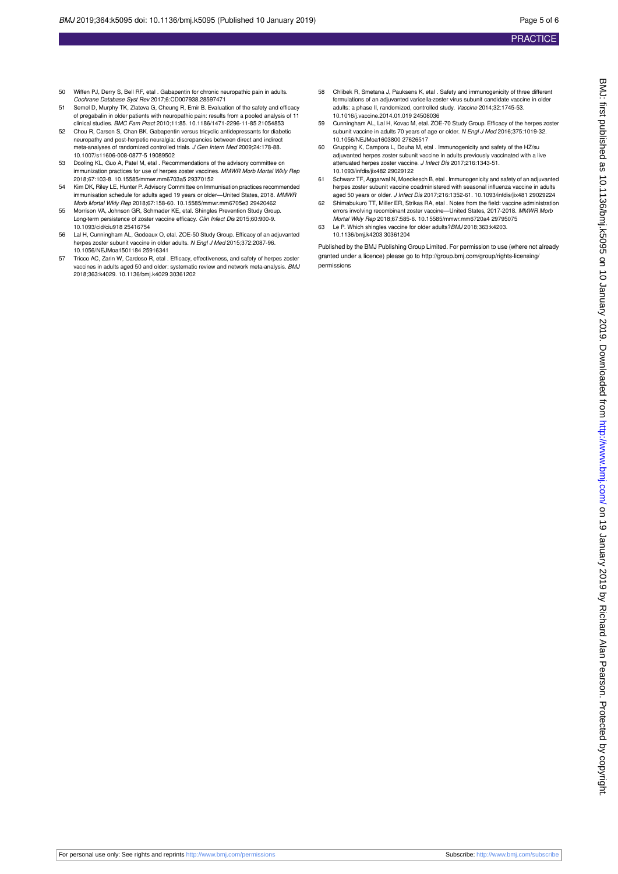- 50 Wiffen PJ, Derry S, Bell RF, etal . Gabapentin for chronic neuropathic pain in adults. Cochrane Database Syst Rev 2017;6:CD007938.28597471
- 51 Semel D, Murphy TK, Zlateva G, Cheung R, Emir B. Evaluation of the safety and efficacy of pregabalin in older patients with neuropathic pain: results from a pooled analysis of 11 clinical studies. BMC Fam Pract 2010;11:85. 10.1186/1471-2296-11-85 21054853
- 52 Chou R, Carson S, Chan BK. Gabapentin versus tricyclic antidepressants for diabetic neuropathy and post-herpetic neuralgia: discrepancies between direct and indirect meta-analyses of randomized controlled trials. J Gen Intern Med 2009;24:178-88. 10.1007/s11606-008-0877-5 19089502
- 53 Dooling KL, Guo A, Patel M, etal . Recommendations of the advisory committee on immunization practices for use of herpes zoster vaccines. MMWR Morb Mortal Wkly Rep 2018;67:103-8. 10.15585/mmwr.mm6703a5 29370152
- 54 Kim DK, Riley LE, Hunter P. Advisory Committee on Immunisation practices recommended immunisation schedule for adults aged 19 years or older—United States, 2018. MMWR Morb Mortal Wkly Rep 2018;67:158-60. 10.15585/mmwr.mm6705e3 29420462
- 55 Morrison VA, Johnson GR, Schmader KE, etal. Shingles Prevention Study Group. Long-term persistence of zoster vaccine efficacy. Clin Infect Dis 2015;60:900-9. 10.1093/cid/ciu918 25416754
- 56 Lal H, Cunningham AL, Godeaux O, etal. ZOE-50 Study Group. Efficacy of an adjuvanted herpes zoster subunit vaccine in older adults. N Engl J Med 2015;372:2087-96. 10.1056/NEJMoa1501184 25916341
- 57 Tricco AC, Zarin W, Cardoso R, etal . Efficacy, effectiveness, and safety of herpes zoster vaccines in adults aged 50 and older: systematic review and network meta-analysis. BMJ 2018;363:k4029. 10.1136/bmj.k4029 30361202
- 58 Chlibek R, Smetana J, Pauksens K, etal . Safety and immunogenicity of three different formulations of an adjuvanted varicella-zoster virus subunit candidate vaccine in older adults: a phase II, randomized, controlled study. Vaccine 2014;32:1745-53. 10.1016/j.vaccine.2014.01.019 24508036
- 59 Cunningham AL, Lal H, Kovac M, etal. ZOE-70 Study Group. Efficacy of the herpes zoster subunit vaccine in adults 70 years of age or older. N Engl J Med 2016;375:1019-32. 10.1056/NEJMoa1603800 27626517
- 60 Grupping K, Campora L, Douha M, etal . Immunogenicity and safety of the HZ/su adjuvanted herpes zoster subunit vaccine in adults previously vaccinated with a live attenuated herpes zoster vaccine. J Infect Dis 2017;216:1343-51. 10.1093/infdis/jix482 29029122
- 61 Schwarz TF, Aggarwal N, Moeckesch B, etal . Immunogenicity and safety of an adjuvanted herpes zoster subunit vaccine coadministered with seasonal influenza vaccine in adults aged 50 years or older. J Infect Dis 2017;216:1352-61. 10.1093/infdis/jix481 29029224
- 62 Shimabukuro TT, Miller ER, Strikas RA, etal . Notes from the field: vaccine administration errors involving recombinant zoster vaccine—United States, 2017-2018. MMWR Morb Mortal Wkly Rep 2018;67:585-6. 10.15585/mmwr.mm6720a4 29795075

63 Le P. Which shingles vaccine for older adults?BMJ 2018;363:k4203. 10.1136/bmj.k4203 30361204

Published by the BMJ Publishing Group Limited. For permission to use (where not already granted under a licence) please go to [http://group.bmj.com/group/rights-licensing/](http://group.bmj.com/group/rights-licensing/permissions) [permissions](http://group.bmj.com/group/rights-licensing/permissions)